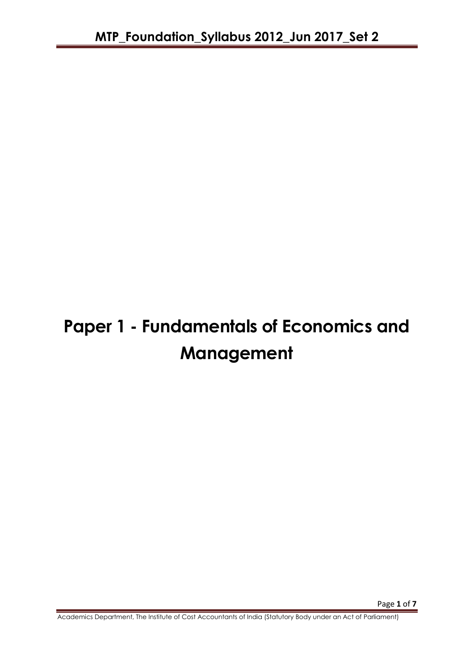# **Paper 1 - Fundamentals of Economics and Management**

Academics Department, The Institute of Cost Accountants of India (Statutory Body under an Act of Parliament)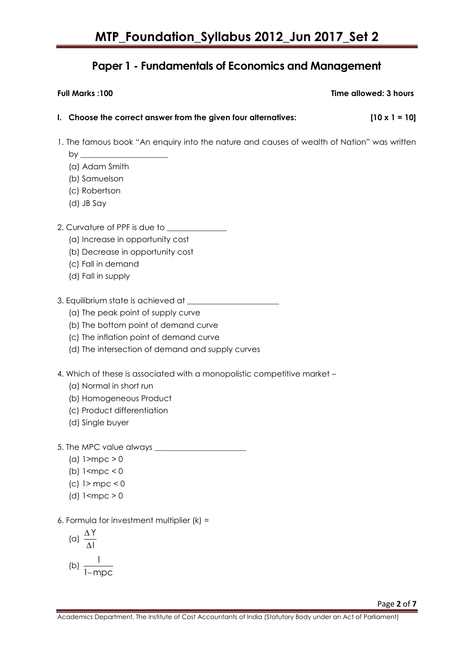## **Paper 1 - Fundamentals of Economics and Management**

### **Full Marks :100 Time allowed: 3 hours**

- **I. Choose the correct answer from the given four alternatives: [10 x 1 = 10]**
- 1. The famous book "An enquiry into the nature and causes of wealth of Nation" was written
	- $by$ (a) Adam Smith
	- (b) Samuelson
	- (c) Robertson
	- (d) JB Say

2. Curvature of PPF is due to \_\_\_\_\_\_\_\_\_\_\_\_\_\_\_

- (a) Increase in opportunity cost
- (b) Decrease in opportunity cost
- (c) Fall in demand
- (d) Fall in supply
- 3. Equilibrium state is achieved at
	- (a) The peak point of supply curve
	- (b) The bottom point of demand curve
	- (c) The inflation point of demand curve
	- (d) The intersection of demand and supply curves
- 4. Which of these is associated with a monopolistic competitive market
	- (a) Normal in short run
	- (b) Homogeneous Product
	- (c) Product differentiation
	- (d) Single buyer
- 5. The MPC value always \_\_\_\_\_\_\_\_\_\_\_\_\_\_\_\_\_\_\_\_\_\_\_
	- (a)  $1>mpc > 0$
	- (b) 1<mpc < 0
	- (c)  $1 >$  mpc  $< 0$
	- (d) 1<mpc > 0
- 6. Formula for investment multiplier  $(k)$  =

$$
(a) \ \frac{\Delta \Upsilon}{\Delta I}
$$

$$
(b) \frac{1}{1 - \text{mpc}}
$$

Page **2** of **7**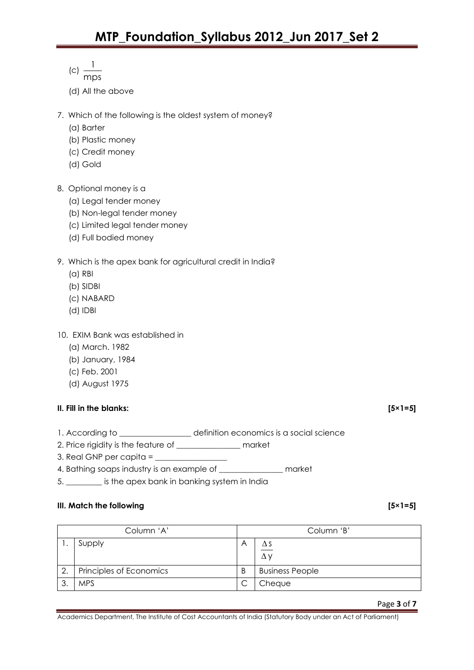- $(c)$   $\frac{1}{1}$
- mps
- (d) All the above
- 7. Which of the following is the oldest system of money?
	- (a) Barter
	- (b) Plastic money
	- (c) Credit money
	- (d) Gold
- 8. Optional money is a
	- (a) Legal tender money
	- (b) Non-legal tender money
	- (c) Limited legal tender money
	- (d) Full bodied money

### 9. Which is the apex bank for agricultural credit in India?

- (a) RBI
- (b) SIDBI
- (c) NABARD
- (d) IDBI
- 10. EXIM Bank was established in
	- (a) March. 1982
	- (b) January, 1984
	- (c) Feb. 2001
	- (d) August 1975

### **II. Fill in the blanks: [5×1=5]**

- 1. According to \_\_\_\_\_\_\_\_\_\_\_\_\_\_\_\_\_\_\_\_ definition economics is a social science
- 2. Price rigidity is the feature of \_\_\_\_\_\_\_\_\_\_\_\_\_\_\_\_ market
- 3. Real GNP per capita =
- 4. Bathing soaps industry is an example of \_\_\_\_\_\_\_\_\_\_\_\_\_\_\_\_ market
- 5. \_\_\_\_\_\_\_\_\_ is the apex bank in banking system in India

### **III.** Match the following [5×1=5]

| Column 'A' |                         | Column 'B' |                        |
|------------|-------------------------|------------|------------------------|
|            | Supply                  | A          | ΔS<br>$\Delta y$       |
| 2.         | Principles of Economics | B          | <b>Business People</b> |
|            | <b>MPS</b>              | ⌒          | Cheque                 |

Academics Department, The Institute of Cost Accountants of India (Statutory Body under an Act of Parliament)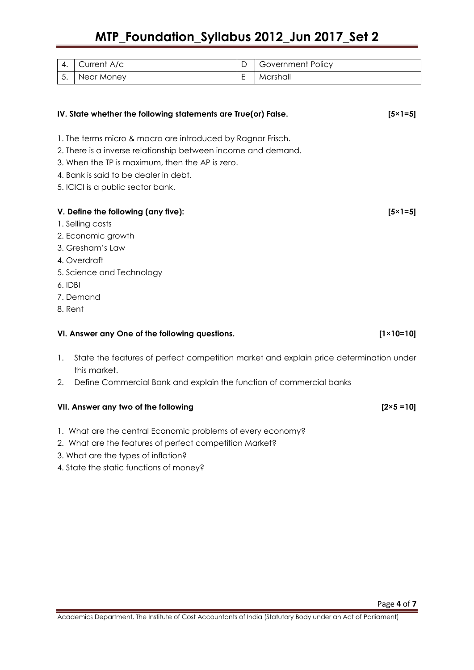# **MTP\_Foundation\_Syllabus 2012\_Jun 2017\_Set 2**

| 4. | Current A/c | <b>Government Policy</b> |
|----|-------------|--------------------------|
| ູ  | Near Money  | Marshall                 |

| IV. State whether the following statements are True(or) False.                                                               | $[5 \times 1 = 5]$   |
|------------------------------------------------------------------------------------------------------------------------------|----------------------|
| 1. The terms micro & macro are introduced by Ragnar Frisch.<br>2. There is a inverse relationship between income and demand. |                      |
| 3. When the TP is maximum, then the AP is zero.                                                                              |                      |
| 4. Bank is said to be dealer in debt.                                                                                        |                      |
| 5. ICICI is a public sector bank.                                                                                            |                      |
| V. Define the following (any five):                                                                                          | $[5 \times 1 = 5]$   |
| 1. Selling costs                                                                                                             |                      |
| 2. Economic growth                                                                                                           |                      |
| 3. Gresham's Law                                                                                                             |                      |
| 4. Overdraft                                                                                                                 |                      |
| 5. Science and Technology                                                                                                    |                      |
| $6.$ IDBI                                                                                                                    |                      |
| 7. Demand                                                                                                                    |                      |
| 8. Rent                                                                                                                      |                      |
| VI. Answer any One of the following questions.                                                                               | $[1 \times 10 = 10]$ |
| State the features of perfect competition market and explain price determination under<br>1.<br>this market.                 |                      |
| Define Commercial Bank and explain the function of commercial banks<br>2.                                                    |                      |
| VII. Answer any two of the following                                                                                         | $[2 \times 5 = 10]$  |
| 1. What are the central Economic problems of every economy?                                                                  |                      |
| 2. What are the features of perfect competition Market?                                                                      |                      |

- 3. What are the types of inflation?
- 4. State the static functions of money?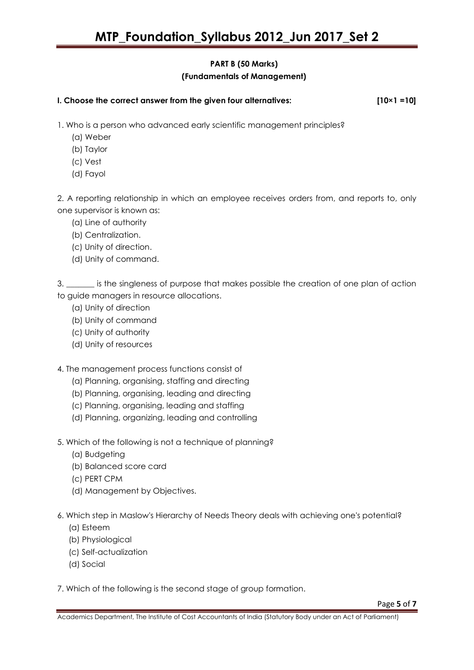#### **PART B (50 Marks) (Fundamentals of Management)**

| I. Choose the correct answer from the given four alternatives: | $[10 \times 1 = 10]$ |
|----------------------------------------------------------------|----------------------|
|                                                                |                      |

- 1. Who is a person who advanced early scientific management principles?
	- (a) Weber
	- (b) Taylor
	- (c) Vest
	- (d) Fayol

2. A reporting relationship in which an employee receives orders from, and reports to, only one supervisor is known as:

- (a) Line of authority
- (b) Centralization.
- (c) Unity of direction.
- (d) Unity of command.

3. \_\_\_\_\_\_\_ is the singleness of purpose that makes possible the creation of one plan of action to guide managers in resource allocations.

- (a) Unity of direction
- (b) Unity of command
- (c) Unity of authority
- (d) Unity of resources

### 4. The management process functions consist of

- (a) Planning, organising, staffing and directing
- (b) Planning, organising, leading and directing
- (c) Planning, organising, leading and staffing
- (d) Planning, organizing, leading and controlling
- 5. Which of the following is not a technique of planning?
	- (a) Budgeting
	- (b) Balanced score card
	- (c) PERT CPM
	- (d) Management by Objectives.
- 6. Which step in Maslow's Hierarchy of Needs Theory deals with achieving one's potential?
	- (a) Esteem
	- (b) Physiological
	- (c) Self-actualization
	- (d) Social

7. Which of the following is the second stage of group formation.

Page **5** of **7**

Academics Department, The Institute of Cost Accountants of India (Statutory Body under an Act of Parliament)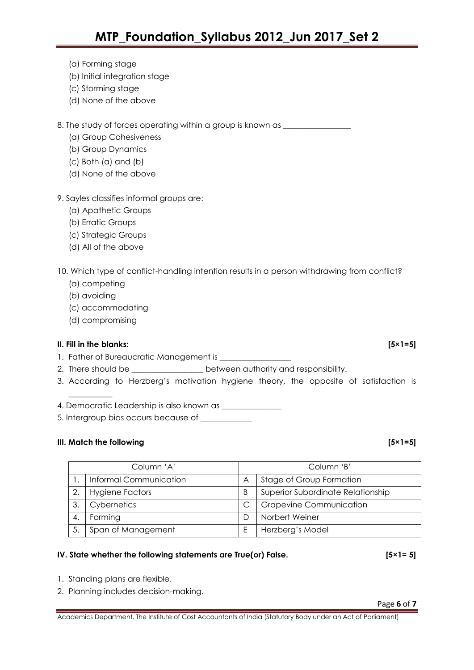- (a) Forming stage
- (b) Initial integration stage
- (c) Storming stage
- (d) None of the above

8. The study of forces operating within a group is known as \_\_\_\_\_\_\_\_\_\_\_\_\_\_\_\_\_\_\_\_\_

- (a) Group Cohesiveness
- (b) Group Dynamics
- (c) Both (a) and (b)
- (d) None of the above
- 9. Sayles classifies informal groups are:
	- (a) Apathetic Groups
	- (b) Erratic Groups
	- (c) Strategic Groups
	- (d) All of the above
- 10. Which type of conflict-handling intention results in a person withdrawing from conflict?
	- (a) competing
	- (b) avoiding
	- (c) accommodating
	- (d) compromising

#### **II. Fill in the blanks: [5×1=5]**

 $\overline{\phantom{a}}$  , where  $\overline{\phantom{a}}$ 

- 1. Father of Bureaucratic Management is \_\_\_\_\_\_\_\_\_\_\_\_\_\_\_\_\_\_
- 2. There should be \_\_\_\_\_\_\_\_\_\_\_\_\_\_\_\_\_\_\_ between authority and responsibility.
- 3. According to Herzberg"s motivation hygiene theory, the opposite of satisfaction is

4. Democratic Leadership is also known as

5. Intergroup bias occurs because of \_\_\_\_\_\_\_\_\_\_\_\_\_

#### **III. Match the following [5×1=5]**

| Column 'A' |                        | Column 'B' |                                   |
|------------|------------------------|------------|-----------------------------------|
|            | Informal Communication | A          | Stage of Group Formation          |
| 2.         | <b>Hygiene Factors</b> | В          | Superior Subordinate Relationship |
| 3.         | Cybernetics            |            | <b>Grapevine Communication</b>    |
|            | Forming                |            | Norbert Weiner                    |
| 5.         | Span of Management     |            | Herzberg's Model                  |

#### **IV. State whether the following statements are True(or) False.** *COMP* **<b>EXAL EXALL EXALL EXALL EXALL EXALL EXALL EXALL EXALL EXALL EXALL EXALL EXALL EXALL EXALL EXALL EXALL EXALL EXALL**

- 1. Standing plans are flexible.
- 2. Planning includes decision-making.

Academics Department, The Institute of Cost Accountants of India (Statutory Body under an Act of Parliament)

Page **6** of **7**